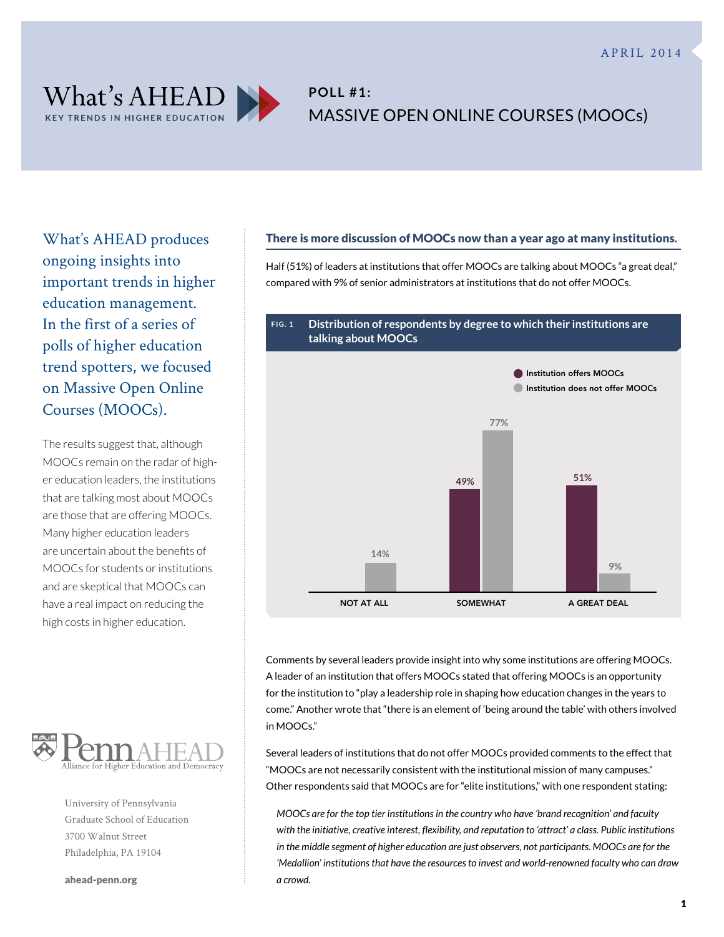

# **Poll #1:** Massive Open Online Courses (MOOCs)

What's AHEAD produces ongoing insights into important trends in higher education management. In the first of a series of polls of higher education trend spotters, we focused on Massive Open Online Courses (MOOCs).

The results suggest that, although MOOCs remain on the radar of higher education leaders, the institutions that are talking most about MOOCs are those that are offering MOOCs. Many higher education leaders are uncertain about the benefits of MOOCs for students or institutions and are skeptical that MOOCs can have a real impact on reducing the high costs in higher education.



University of Pennsylvania Graduate School of Education 3700 Walnut Street Philadelphia, PA 19104

[ahead-penn.org](http://ahead-penn.org/)

#### There is more discussion of MOOCs now than a year ago at many institutions.

Half (51%) of leaders at institutions that offer MOOCs are talking about MOOCs "a great deal," compared with 9% of senior administrators at institutions that do not offer MOOCs.



Comments by several leaders provide insight into why some institutions are offering MOOCs. A leader of an institution that offers MOOCs stated that offering MOOCs is an opportunity for the institution to "play a leadership role in shaping how education changes in the years to come." Another wrote that "there is an element of 'being around the table' with others involved in MOOCs."

Several leaders of institutions that do not offer MOOCs provided comments to the effect that "MOOCs are not necessarily consistent with the institutional mission of many campuses." Other respondents said that MOOCs are for "elite institutions," with one respondent stating:

*MOOCs are for the top tier institutions in the country who have 'brand recognition' and faculty with the initiative, creative interest, flexibility, and reputation to 'attract' a class. Public institutions in the middle segment of higher education are just observers, not participants. MOOCs are for the 'Medallion' institutions that have the resources to invest and world-renowned faculty who can draw a crowd.*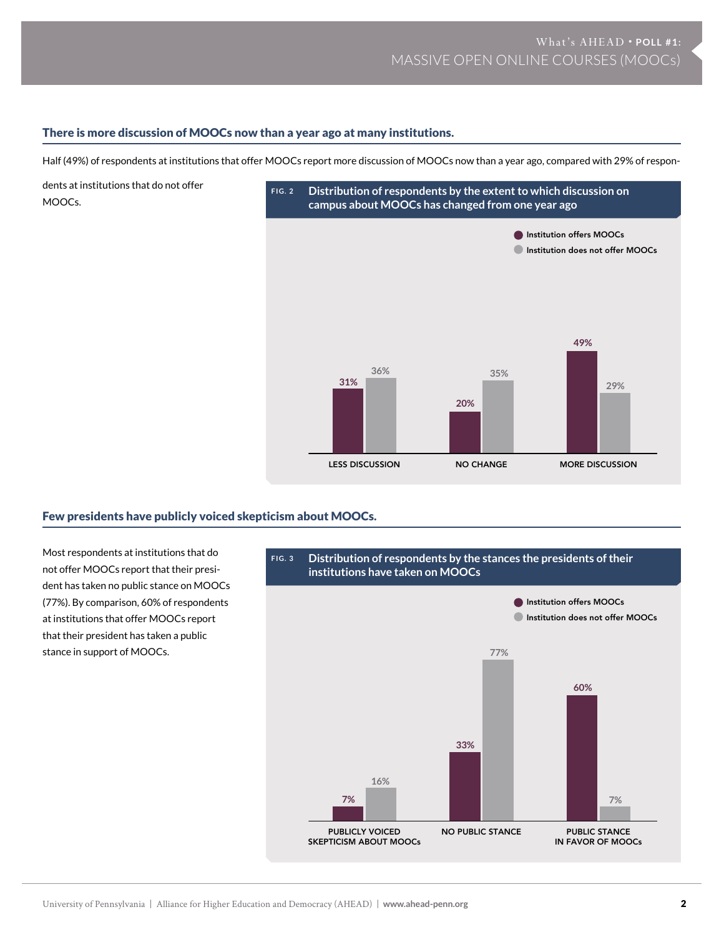#### There is more discussion of MOOCs now than a year ago at many institutions.

Half (49%) of respondents at institutions that offer MOOCs report more discussion of MOOCs now than a year ago, compared with 29% of respon-

dents at institutions that do not offer MOOCs.



#### Few presidents have publicly voiced skepticism about MOOCs.

Most respondents at institutions that do not offer MOOCs report that their president has taken no public stance on MOOCs (77%). By comparison, 60% of respondents at institutions that offer MOOCs report that their president has taken a public stance in support of MOOCs.

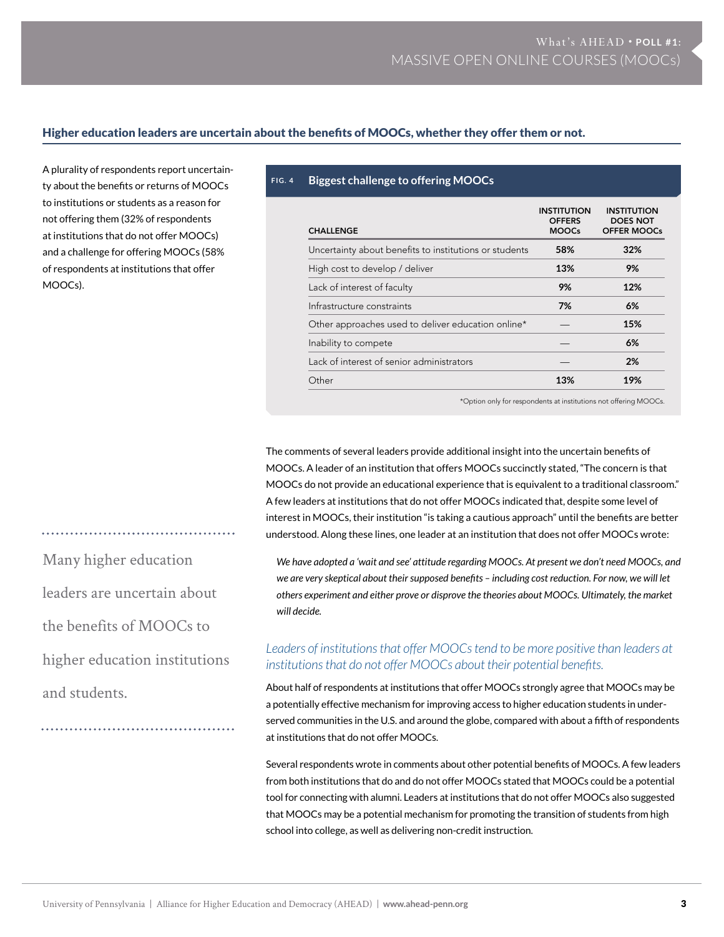#### Higher education leaders are uncertain about the benefits of MOOCs, whether they offer them or not.

A plurality of respondents report uncertainty about the benefits or returns of MOOCs to institutions or students as a reason for not offering them (32% of respondents at institutions that do not offer MOOCs) and a challenge for offering MOOCs (58% of respondents at institutions that offer MOOCs).

#### **Fig. 4 Biggest challenge to offering MOOCs**

| <b>CHALLENGE</b>                                       | <b>INSTITUTION</b><br><b>OFFERS</b><br><b>MOOCs</b> | <b>INSTITUTION</b><br><b>DOES NOT</b><br><b>OFFER MOOCs</b> |
|--------------------------------------------------------|-----------------------------------------------------|-------------------------------------------------------------|
| Uncertainty about benefits to institutions or students | 58%                                                 | 32%                                                         |
| High cost to develop / deliver                         | 13%                                                 | 9%                                                          |
| Lack of interest of faculty                            | 9%                                                  | 12%                                                         |
| Infrastructure constraints                             | 7%                                                  | 6%                                                          |
| Other approaches used to deliver education online*     |                                                     | 15%                                                         |
| Inability to compete                                   |                                                     | 6%                                                          |
| Lack of interest of senior administrators              |                                                     | 2%                                                          |
| Other                                                  | 13%                                                 | 19%                                                         |

\*Option only for respondents at institutions not offering MOOCs.

The comments of several leaders provide additional insight into the uncertain benefits of MOOCs. A leader of an institution that offers MOOCs succinctly stated, "The concern is that MOOCs do not provide an educational experience that is equivalent to a traditional classroom." A few leaders at institutions that do not offer MOOCs indicated that, despite some level of interest in MOOCs, their institution "is taking a cautious approach" until the benefits are better understood. Along these lines, one leader at an institution that does not offer MOOCs wrote:

*We have adopted a 'wait and see' attitude regarding MOOCs. At present we don't need MOOCs, and we are very skeptical about their supposed benefits – including cost reduction. For now, we will let others experiment and either prove or disprove the theories about MOOCs. Ultimately, the market will decide.* 

### *Leaders of institutions that offer MOOCs tend to be more positive than leaders at institutions that do not offer MOOCs about their potential benefits.*

About half of respondents at institutions that offer MOOCs strongly agree that MOOCs may be a potentially effective mechanism for improving access to higher education students in underserved communities in the U.S. and around the globe, compared with about a fifth of respondents at institutions that do not offer MOOCs.

Several respondents wrote in comments about other potential benefits of MOOCs. A few leaders from both institutions that do and do not offer MOOCs stated that MOOCs could be a potential tool for connecting with alumni. Leaders at institutions that do not offer MOOCs also suggested that MOOCs may be a potential mechanism for promoting the transition of students from high school into college, as well as delivering non-credit instruction.

Many higher education leaders are uncertain about

the benefits of moocs to

higher education institutions

and students.